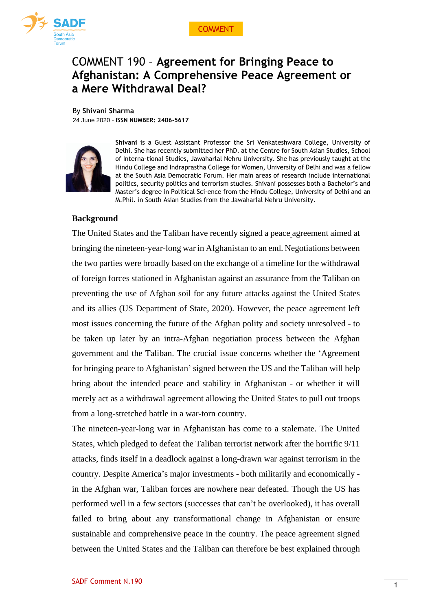



# COMMENT 190 – **Agreement for Bringing Peace to Afghanistan: A Comprehensive Peace Agreement or a Mere Withdrawal Deal?**

By **Shivani Sharma**

24 June 2020 - **ISSN NUMBER: 2406-5617**



**Shivani** is a Guest Assistant Professor the Sri Venkateshwara College, University of Delhi. She has recently submitted her PhD. at the Centre for South Asian Studies, School of Interna-tional Studies, Jawaharlal Nehru University. She has previously taught at the Hindu College and Indraprastha College for Women, University of Delhi and was a fellow at the South Asia Democratic Forum. Her main areas of research include international politics, security politics and terrorism studies. Shivani possesses both a Bachelor's and Master's degree in Political Sci-ence from the Hindu College, University of Delhi and an M.Phil. in South Asian Studies from the Jawaharlal Nehru University.

## **Background**

The United States and the Taliban have recently signed a peace agreement aimed at bringing the nineteen-year-long war in Afghanistan to an end. Negotiations between the two parties were broadly based on the exchange of a timeline for the withdrawal of foreign forces stationed in Afghanistan against an assurance from the Taliban on preventing the use of Afghan soil for any future attacks against the United States and its allies (US Department of State, 2020). However, the peace agreement left most issues concerning the future of the Afghan polity and society unresolved - to be taken up later by an intra-Afghan negotiation process between the Afghan government and the Taliban. The crucial issue concerns whether the 'Agreement for bringing peace to Afghanistan' signed between the US and the Taliban will help bring about the intended peace and stability in Afghanistan - or whether it will merely act as a withdrawal agreement allowing the United States to pull out troops from a long-stretched battle in a war-torn country.

The nineteen-year-long war in Afghanistan has come to a stalemate. The United States, which pledged to defeat the Taliban terrorist network after the horrific 9/11 attacks, finds itself in a deadlock against a long-drawn war against terrorism in the country. Despite America's major investments - both militarily and economically in the Afghan war, Taliban forces are nowhere near defeated. Though the US has performed well in a few sectors (successes that can't be overlooked), it has overall failed to bring about any transformational change in Afghanistan or ensure sustainable and comprehensive peace in the country. The peace agreement signed between the United States and the Taliban can therefore be best explained through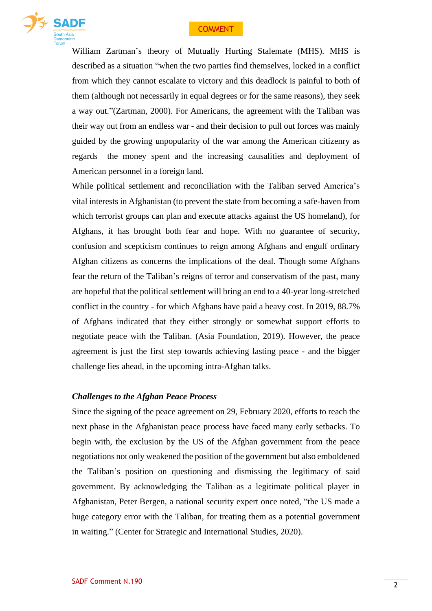

William Zartman's theory of Mutually Hurting Stalemate (MHS). MHS is described as a situation "when the two parties find themselves, locked in a conflict from which they cannot escalate to victory and this deadlock is painful to both of them (although not necessarily in equal degrees or for the same reasons), they seek a way out."(Zartman, 2000). For Americans, the agreement with the Taliban was their way out from an endless war - and their decision to pull out forces was mainly guided by the growing unpopularity of the war among the American citizenry as regards the money spent and the increasing causalities and deployment of American personnel in a foreign land.

While political settlement and reconciliation with the Taliban served America's vital interests in Afghanistan (to prevent the state from becoming a safe-haven from which terrorist groups can plan and execute attacks against the US homeland), for Afghans, it has brought both fear and hope. With no guarantee of security, confusion and scepticism continues to reign among Afghans and engulf ordinary Afghan citizens as concerns the implications of the deal. Though some Afghans fear the return of the Taliban's reigns of terror and conservatism of the past, many are hopeful that the political settlement will bring an end to a 40-year long-stretched conflict in the country - for which Afghans have paid a heavy cost. In 2019, 88.7% of Afghans indicated that they either strongly or somewhat support efforts to negotiate peace with the Taliban. (Asia Foundation, 2019). However, the peace agreement is just the first step towards achieving lasting peace - and the bigger challenge lies ahead, in the upcoming intra-Afghan talks.

#### *Challenges to the Afghan Peace Process*

Since the signing of the peace agreement on 29, February 2020, efforts to reach the next phase in the Afghanistan peace process have faced many early setbacks. To begin with, the exclusion by the US of the Afghan government from the peace negotiations not only weakened the position of the government but also emboldened the Taliban's position on questioning and dismissing the legitimacy of said government. By acknowledging the Taliban as a legitimate political player in Afghanistan, Peter Bergen, a national security expert once noted, "the US made a huge category error with the Taliban, for treating them as a potential government in waiting." (Center for Strategic and International Studies, 2020).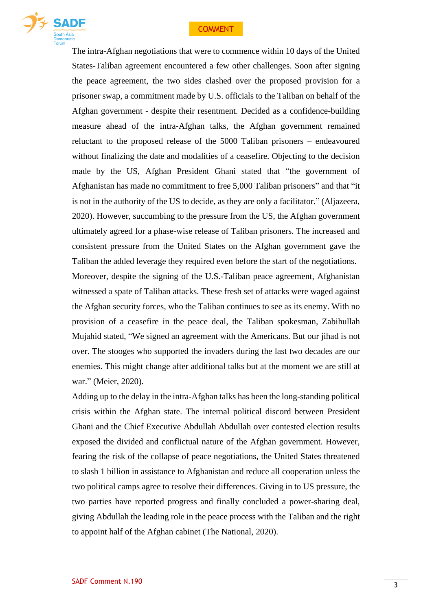

The intra-Afghan negotiations that were to commence within 10 days of the United States-Taliban agreement encountered a few other challenges. Soon after signing the peace agreement, the two sides clashed over the proposed provision for a prisoner swap, a commitment made by U.S. officials to the Taliban on behalf of the Afghan government - despite their resentment. Decided as a confidence-building measure ahead of the intra-Afghan talks, the Afghan government remained reluctant to the proposed release of the 5000 Taliban prisoners – endeavoured without finalizing the date and modalities of a ceasefire. Objecting to the decision made by the US, Afghan President Ghani stated that "the government of Afghanistan has made no commitment to free 5,000 Taliban prisoners" and that "it is not in the authority of the US to decide, as they are only a facilitator." (Aljazeera, 2020). However, succumbing to the pressure from the US, the Afghan government ultimately agreed for a phase-wise release of Taliban prisoners. The increased and consistent pressure from the United States on the Afghan government gave the Taliban the added leverage they required even before the start of the negotiations. Moreover, despite the signing of the U.S.-Taliban peace agreement, Afghanistan witnessed a spate of Taliban attacks. These fresh set of attacks were waged against the Afghan security forces, who the Taliban continues to see as its enemy. With no provision of a ceasefire in the peace deal, the Taliban spokesman, Zabihullah Mujahid stated, "We signed an agreement with the Americans. But our jihad is not over. The stooges who supported the invaders during the last two decades are our enemies. This might change after additional talks but at the moment we are still at war." (Meier, 2020).

Adding up to the delay in the intra-Afghan talks has been the long-standing political crisis within the Afghan state. The internal political discord between President Ghani and the Chief Executive Abdullah Abdullah over contested election results exposed the divided and conflictual nature of the Afghan government. However, fearing the risk of the collapse of peace negotiations, the United States threatened to slash 1 billion in assistance to Afghanistan and reduce all cooperation unless the two political camps agree to resolve their differences. Giving in to US pressure, the two parties have reported progress and finally concluded a power-sharing deal, giving Abdullah the leading role in the peace process with the Taliban and the right to appoint half of the Afghan cabinet (The National, 2020).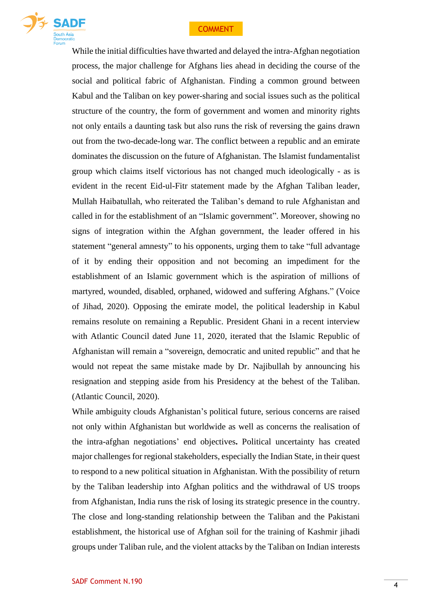

While the initial difficulties have thwarted and delayed the intra-Afghan negotiation process, the major challenge for Afghans lies ahead in deciding the course of the social and political fabric of Afghanistan. Finding a common ground between Kabul and the Taliban on key power-sharing and social issues such as the political structure of the country, the form of government and women and minority rights not only entails a daunting task but also runs the risk of reversing the gains drawn out from the two-decade-long war. The conflict between a republic and an emirate dominates the discussion on the future of Afghanistan. The Islamist fundamentalist group which claims itself victorious has not changed much ideologically - as is evident in the recent Eid-ul-Fitr statement made by the Afghan Taliban leader, Mullah Haibatullah, who reiterated the Taliban's demand to rule Afghanistan and called in for the establishment of an "Islamic government". Moreover, showing no signs of integration within the Afghan government, the leader offered in his statement "general amnesty" to his opponents, urging them to take "full advantage of it by ending their opposition and not becoming an impediment for the establishment of an Islamic government which is the aspiration of millions of martyred, wounded, disabled, orphaned, widowed and suffering Afghans." (Voice of Jihad, 2020). Opposing the emirate model, the political leadership in Kabul remains resolute on remaining a Republic. President Ghani in a recent interview with Atlantic Council dated June 11, 2020, iterated that the Islamic Republic of Afghanistan will remain a "sovereign, democratic and united republic" and that he would not repeat the same mistake made by Dr. Najibullah by announcing his resignation and stepping aside from his Presidency at the behest of the Taliban. (Atlantic Council, 2020).

While ambiguity clouds Afghanistan's political future, serious concerns are raised not only within Afghanistan but worldwide as well as concerns the realisation of the intra-afghan negotiations' end objectives**.** Political uncertainty has created major challenges for regional stakeholders, especially the Indian State, in their quest to respond to a new political situation in Afghanistan. With the possibility of return by the Taliban leadership into Afghan politics and the withdrawal of US troops from Afghanistan, India runs the risk of losing its strategic presence in the country. The close and long-standing relationship between the Taliban and the Pakistani establishment, the historical use of Afghan soil for the training of Kashmir jihadi groups under Taliban rule, and the violent attacks by the Taliban on Indian interests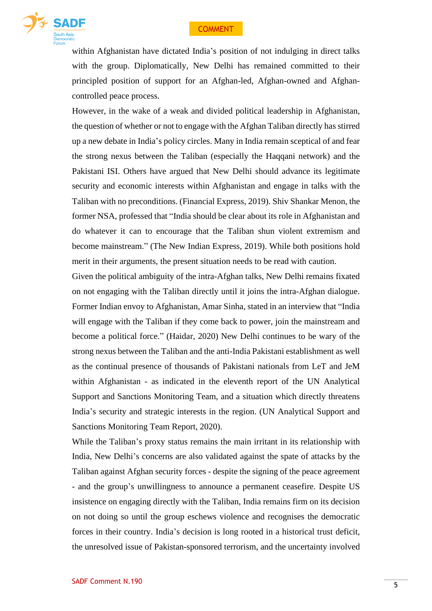

within Afghanistan have dictated India's position of not indulging in direct talks with the group. Diplomatically, New Delhi has remained committed to their principled position of support for an Afghan-led, Afghan-owned and Afghancontrolled peace process.

However, in the wake of a weak and divided political leadership in Afghanistan, the question of whether or not to engage with the Afghan Taliban directly has stirred up a new debate in India's policy circles. Many in India remain sceptical of and fear the strong nexus between the Taliban (especially the Haqqani network) and the Pakistani ISI. Others have argued that New Delhi should advance its legitimate security and economic interests within Afghanistan and engage in talks with the Taliban with no preconditions. (Financial Express, 2019). Shiv Shankar Menon, the former NSA, professed that "India should be clear about its role in Afghanistan and do whatever it can to encourage that the Taliban shun violent extremism and become mainstream." (The New Indian Express, 2019). While both positions hold merit in their arguments, the present situation needs to be read with caution.

Given the political ambiguity of the intra-Afghan talks, New Delhi remains fixated on not engaging with the Taliban directly until it joins the intra-Afghan dialogue. Former Indian envoy to Afghanistan, Amar Sinha, stated in an interview that "India will engage with the Taliban if they come back to power, join the mainstream and become a political force." (Haidar, 2020) New Delhi continues to be wary of the strong nexus between the Taliban and the anti-India Pakistani establishment as well as the continual presence of thousands of Pakistani nationals from LeT and JeM within Afghanistan - as indicated in the eleventh report of the UN Analytical Support and Sanctions Monitoring Team, and a situation which directly threatens India's security and strategic interests in the region. (UN Analytical Support and Sanctions Monitoring Team Report, 2020).

While the Taliban's proxy status remains the main irritant in its relationship with India, New Delhi's concerns are also validated against the spate of attacks by the Taliban against Afghan security forces - despite the signing of the peace agreement - and the group's unwillingness to announce a permanent ceasefire. Despite US insistence on engaging directly with the Taliban, India remains firm on its decision on not doing so until the group eschews violence and recognises the democratic forces in their country. India's decision is long rooted in a historical trust deficit, the unresolved issue of Pakistan-sponsored terrorism, and the uncertainty involved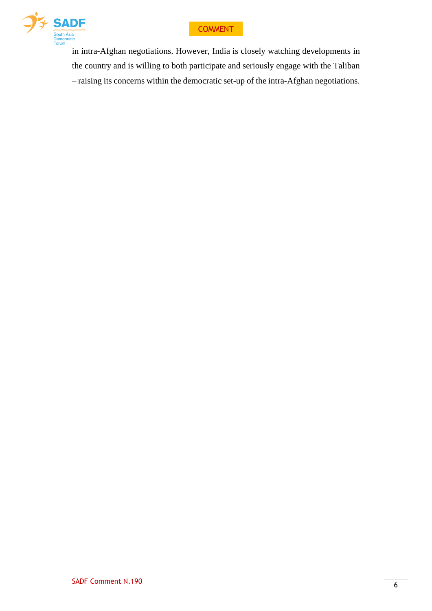



in intra-Afghan negotiations. However, India is closely watching developments in the country and is willing to both participate and seriously engage with the Taliban – raising its concerns within the democratic set-up of the intra-Afghan negotiations.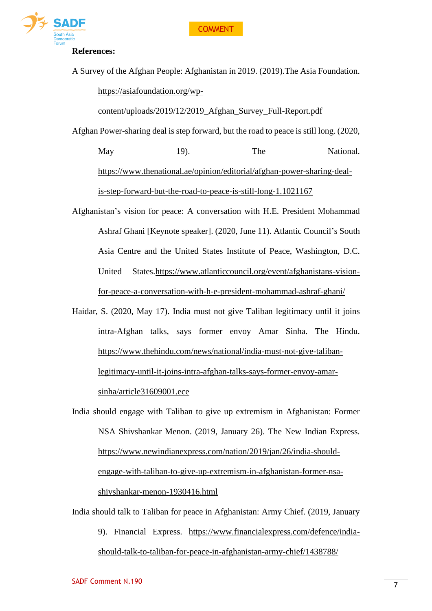

#### **References:**

A Survey of the Afghan People: Afghanistan in 2019. (2019).The Asia Foundation.

[https://asiafoundation.org/wp-](https://asiafoundation.org/wp-content/uploads/2019/12/2019_Afghan_Survey_Full-Report.pdf)

[content/uploads/2019/12/2019\\_Afghan\\_Survey\\_Full-Report.pdf](https://asiafoundation.org/wp-content/uploads/2019/12/2019_Afghan_Survey_Full-Report.pdf)

Afghan Power-sharing deal is step forward, but the road to peace is still long. (2020,

May 19). The National. [https://www.thenational.ae/opinion/editorial/afghan-power-sharing-deal](https://www.thenational.ae/opinion/editorial/afghan-power-sharing-deal-is-step-forward-but-the-road-to-peace-is-still-long-1.1021167)[is-step-forward-but-the-road-to-peace-is-still-long-1.1021167](https://www.thenational.ae/opinion/editorial/afghan-power-sharing-deal-is-step-forward-but-the-road-to-peace-is-still-long-1.1021167)

- Afghanistan's vision for peace: A conversation with H.E. President Mohammad Ashraf Ghani [Keynote speaker]. (2020, June 11). Atlantic Council's South Asia Centre and the United States Institute of Peace, Washington, D.C. United States[.https://www.atlanticcouncil.org/event/afghanistans-vision](https://www.atlanticcouncil.org/event/afghanistans-vision-for-peace-a-conversation-with-h-e-president-mohammad-ashraf-ghani/)[for-peace-a-conversation-with-h-e-president-mohammad-ashraf-ghani/](https://www.atlanticcouncil.org/event/afghanistans-vision-for-peace-a-conversation-with-h-e-president-mohammad-ashraf-ghani/)
- Haidar, S. (2020, May 17). India must not give Taliban legitimacy until it joins intra-Afghan talks, says former envoy Amar Sinha. The Hindu. [https://www.thehindu.com/news/national/india-must-not-give-taliban](https://www.thehindu.com/news/national/india-must-not-give-taliban-legitimacy-until-it-joins-intra-afghan-talks-says-former-envoy-amar-sinha/article31609001.ece)[legitimacy-until-it-joins-intra-afghan-talks-says-former-envoy-amar](https://www.thehindu.com/news/national/india-must-not-give-taliban-legitimacy-until-it-joins-intra-afghan-talks-says-former-envoy-amar-sinha/article31609001.ece)[sinha/article31609001.ece](https://www.thehindu.com/news/national/india-must-not-give-taliban-legitimacy-until-it-joins-intra-afghan-talks-says-former-envoy-amar-sinha/article31609001.ece)
- India should engage with Taliban to give up extremism in Afghanistan: Former NSA Shivshankar Menon. (2019, January 26). The New Indian Express. [https://www.newindianexpress.com/nation/2019/jan/26/india-should](https://www.newindianexpress.com/nation/2019/jan/26/india-should-engage-with-taliban-to-give-up-extremism-in-afghanistan-former-nsa-shivshankar-menon-1930416.html)[engage-with-taliban-to-give-up-extremism-in-afghanistan-former-nsa](https://www.newindianexpress.com/nation/2019/jan/26/india-should-engage-with-taliban-to-give-up-extremism-in-afghanistan-former-nsa-shivshankar-menon-1930416.html)[shivshankar-menon-1930416.html](https://www.newindianexpress.com/nation/2019/jan/26/india-should-engage-with-taliban-to-give-up-extremism-in-afghanistan-former-nsa-shivshankar-menon-1930416.html)
- India should talk to Taliban for peace in Afghanistan: Army Chief. (2019, January 9). Financial Express. [https://www.financialexpress.com/defence/india](https://www.financialexpress.com/defence/india-should-talk-to-taliban-for-peace-in-afghanistan-army-chief/1438788/)[should-talk-to-taliban-for-peace-in-afghanistan-army-chief/1438788/](https://www.financialexpress.com/defence/india-should-talk-to-taliban-for-peace-in-afghanistan-army-chief/1438788/)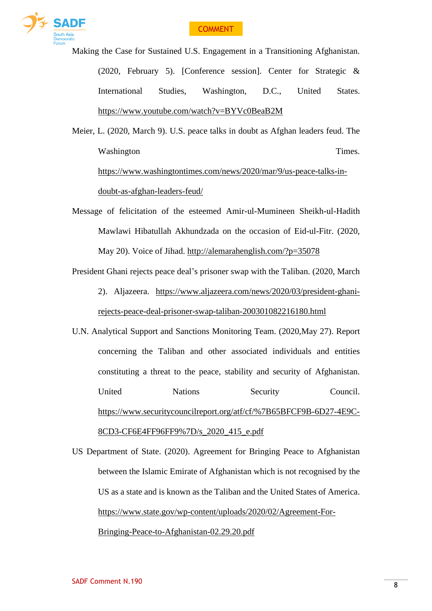

Making the Case for Sustained U.S. Engagement in a Transitioning Afghanistan. (2020, February 5). [Conference session]. Center for Strategic & International Studies, Washington, D.C., United States. <https://www.youtube.com/watch?v=BYVc0BeaB2M>

Meier, L. (2020, March 9). U.S. peace talks in doubt as Afghan leaders feud. The Washington Times. [https://www.washingtontimes.com/news/2020/mar/9/us-peace-talks-in](https://www.washingtontimes.com/news/2020/mar/9/us-peace-talks-in-doubt-as-afghan-leaders-feud/)[doubt-as-afghan-leaders-feud/](https://www.washingtontimes.com/news/2020/mar/9/us-peace-talks-in-doubt-as-afghan-leaders-feud/)

Message of felicitation of the esteemed Amir-ul-Mumineen Sheikh-ul-Hadith Mawlawi Hibatullah Akhundzada on the occasion of Eid-ul-Fitr. (2020, May 20). Voice of Jihad. <http://alemarahenglish.com/?p=35078>

President Ghani rejects peace deal's prisoner swap with the Taliban. (2020, March 2). Aljazeera. [https://www.aljazeera.com/news/2020/03/president-ghani](https://www.aljazeera.com/news/2020/03/president-ghani-rejects-peace-deal-prisoner-swap-taliban-200301082216180.html)[rejects-peace-deal-prisoner-swap-taliban-200301082216180.html](https://www.aljazeera.com/news/2020/03/president-ghani-rejects-peace-deal-prisoner-swap-taliban-200301082216180.html)

U.N. Analytical Support and Sanctions Monitoring Team. (2020,May 27). Report concerning the Taliban and other associated individuals and entities constituting a threat to the peace, stability and security of Afghanistan. United Nations Security Council. [https://www.securitycouncilreport.org/atf/cf/%7B65BFCF9B-6D27-4E9C-](https://www.securitycouncilreport.org/atf/cf/%25257B65BFCF9B-6D27-4E9C-8CD3-CF6E4FF96FF9%25257D/s_2020_415_e.pdf)[8CD3-CF6E4FF96FF9%7D/s\\_2020\\_415\\_e.pdf](https://www.securitycouncilreport.org/atf/cf/%25257B65BFCF9B-6D27-4E9C-8CD3-CF6E4FF96FF9%25257D/s_2020_415_e.pdf)

US Department of State. (2020). Agreement for Bringing Peace to Afghanistan between the Islamic Emirate of Afghanistan which is not recognised by the US as a state and is known as the Taliban and the United States of America. [https://www.state.gov/wp-content/uploads/2020/02/Agreement-For-](https://www.state.gov/wp-content/uploads/2020/02/Agreement-For-Bringing-Peace-to-Afghanistan-02.29.20.pdf)[Bringing-Peace-to-Afghanistan-02.29.20.pdf](https://www.state.gov/wp-content/uploads/2020/02/Agreement-For-Bringing-Peace-to-Afghanistan-02.29.20.pdf)